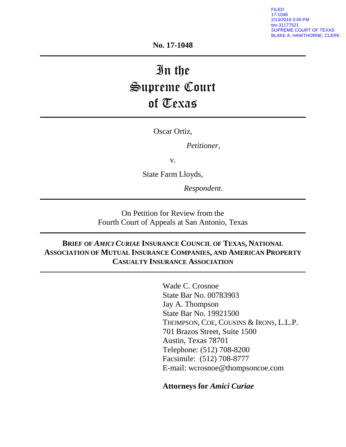FILED 17-1048 2/13/2019 3:45 PM tex-31177521 SUPREME COURT OF TEXAS BLAKE A. HAWTHORNE, CLERK

**No. 17-1048**

# In the Supreme Court of Texas

Oscar Ortiz,

*Petitioner*,

v.

State Farm Lloyds,

*Respondent*.

On Petition for Review from the Fourth Court of Appeals at San Antonio, Texas

# **BRIEF OF** *AMICI CURIAE* **INSURANCE COUNCIL OF TEXAS, NATIONAL ASSOCIATION OF MUTUAL INSURANCE COMPANIES, AND AMERICAN PROPERTY CASUALTY INSURANCE ASSOCIATION**

Wade C. Crosnoe State Bar No. 00783903 Jay A. Thompson State Bar No. 19921500 THOMPSON, COE, COUSINS & IRONS, L.L.P. 701 Brazos Street, Suite 1500 Austin, Texas 78701 Telephone: (512) 708-8200 Facsimile: (512) 708-8777 E-mail: wcrosnoe@thompsoncoe.com

**Attorneys for** *Amici Curiae*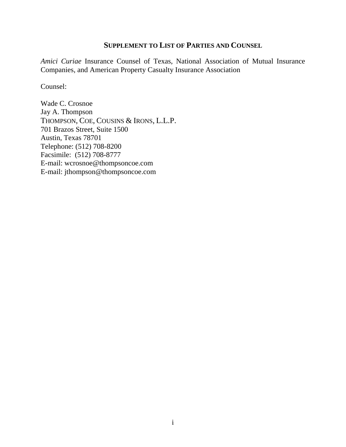### <span id="page-1-0"></span>**SUPPLEMENT TO LIST OF PARTIES AND COUNSEL**

*Amici Curiae* Insurance Counsel of Texas, National Association of Mutual Insurance Companies, and American Property Casualty Insurance Association

Counsel:

Wade C. Crosnoe Jay A. Thompson THOMPSON, COE, COUSINS & IRONS, L.L.P. 701 Brazos Street, Suite 1500 Austin, Texas 78701 Telephone: (512) 708-8200 Facsimile: (512) 708-8777 E-mail: wcrosnoe@thompsoncoe.com E-mail: jthompson@thompsoncoe.com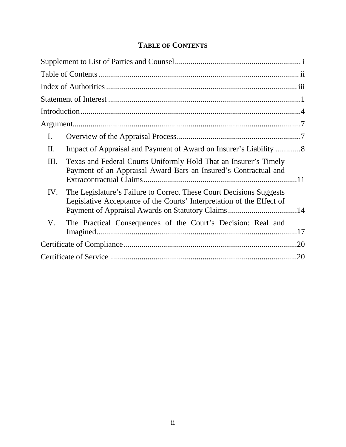| <b>TABLE OF CONTENTS</b> |  |
|--------------------------|--|
|--------------------------|--|

<span id="page-2-0"></span>

| I.  |                                                                                                                                                                                                   |     |
|-----|---------------------------------------------------------------------------------------------------------------------------------------------------------------------------------------------------|-----|
| Π.  | Impact of Appraisal and Payment of Award on Insurer's Liability8                                                                                                                                  |     |
| Ш.  | Texas and Federal Courts Uniformly Hold That an Insurer's Timely<br>Payment of an Appraisal Award Bars an Insured's Contractual and                                                               |     |
| IV. | The Legislature's Failure to Correct These Court Decisions Suggests<br>Legislative Acceptance of the Courts' Interpretation of the Effect of<br>Payment of Appraisal Awards on Statutory Claims14 |     |
| V.  | The Practical Consequences of the Court's Decision: Real and                                                                                                                                      |     |
|     |                                                                                                                                                                                                   | .20 |
|     |                                                                                                                                                                                                   | .20 |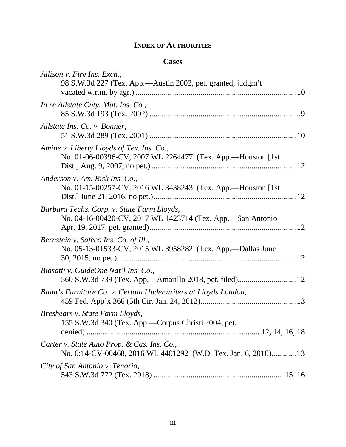# **INDEX OF AUTHORITIES**

## **Cases**

<span id="page-3-0"></span>

| Allison v. Fire Ins. Exch.,                                                                                  |
|--------------------------------------------------------------------------------------------------------------|
| 98 S.W.3d 227 (Tex. App.—Austin 2002, pet. granted, judgm't                                                  |
| In re Allstate Cnty. Mut. Ins. Co.,                                                                          |
| Allstate Ins. Co. v. Bonner,                                                                                 |
| Amine v. Liberty Lloyds of Tex. Ins. Co.,<br>No. 01-06-00396-CV, 2007 WL 2264477 (Tex. App.-Houston [1st]    |
| Anderson v. Am. Risk Ins. Co.,<br>No. 01-15-00257-CV, 2016 WL 3438243 (Tex. App.-Houston [1st]               |
| Barbara Techs. Corp. v. State Farm Lloyds,<br>No. 04-16-00420-CV, 2017 WL 1423714 (Tex. App.-San Antonio     |
| Bernstein v. Safeco Ins. Co. of Ill.,<br>No. 05-13-01533-CV, 2015 WL 3958282 (Tex. App.—Dallas June          |
| Biasatti v. GuideOne Nat'l Ins. Co.,                                                                         |
| Blum's Furniture Co. v. Certain Underwriters at Lloyds London,                                               |
| Breshears v. State Farm Lloyds,<br>155 S.W.3d 340 (Tex. App.-Corpus Christi 2004, pet.                       |
| Carter v. State Auto Prop. & Cas. Ins. Co.,<br>No. 6:14-CV-00468, 2016 WL 4401292 (W.D. Tex. Jan. 6, 2016)13 |
| City of San Antonio v. Tenorio,                                                                              |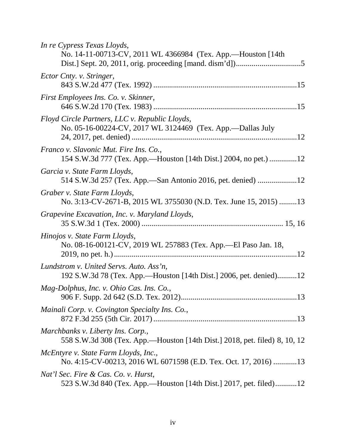| In re Cypress Texas Lloyds,<br>No. 14-11-00713-CV, 2011 WL 4366984 (Tex. App.—Houston [14th]                    |
|-----------------------------------------------------------------------------------------------------------------|
| Ector Cnty. v. Stringer,                                                                                        |
| First Employees Ins. Co. v. Skinner,                                                                            |
| Floyd Circle Partners, LLC v. Republic Lloyds,<br>No. 05-16-00224-CV, 2017 WL 3124469 (Tex. App.-Dallas July    |
| Franco v. Slavonic Mut. Fire Ins. Co.,<br>154 S.W.3d 777 (Tex. App.—Houston [14th Dist.] 2004, no pet.) 12      |
| Garcia v. State Farm Lloyds,<br>514 S.W.3d 257 (Tex. App.—San Antonio 2016, pet. denied) 12                     |
| Graber v. State Farm Lloyds,<br>No. 3:13-CV-2671-B, 2015 WL 3755030 (N.D. Tex. June 15, 2015) 13                |
| Grapevine Excavation, Inc. v. Maryland Lloyds,                                                                  |
| Hinojos v. State Farm Lloyds,<br>No. 08-16-00121-CV, 2019 WL 257883 (Tex. App.-El Paso Jan. 18,                 |
| Lundstrom v. United Servs. Auto. Ass'n,<br>192 S.W.3d 78 (Tex. App.—Houston [14th Dist.] 2006, pet. denied)12   |
| Mag-Dolphus, Inc. v. Ohio Cas. Ins. Co.,                                                                        |
| Mainali Corp. v. Covington Specialty Ins. Co.,                                                                  |
| Marchbanks v. Liberty Ins. Corp.,<br>558 S.W.3d 308 (Tex. App.—Houston [14th Dist.] 2018, pet. filed) 8, 10, 12 |
| McEntyre v. State Farm Lloyds, Inc.,<br>No. 4:15-CV-00213, 2016 WL 6071598 (E.D. Tex. Oct. 17, 2016) 13         |
| Nat'l Sec. Fire & Cas. Co. v. Hurst,<br>523 S.W.3d 840 (Tex. App.—Houston [14th Dist.] 2017, pet. filed)12      |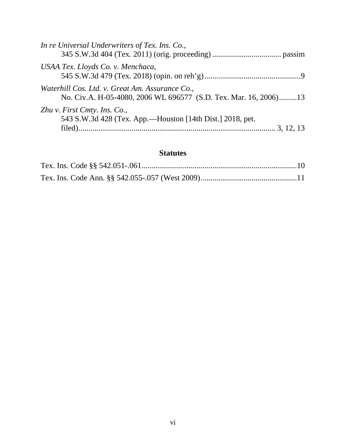| In re Universal Underwriters of Tex. Ins. Co.,                                                                      |
|---------------------------------------------------------------------------------------------------------------------|
| USAA Tex. Lloyds Co. v. Menchaca,                                                                                   |
| Waterhill Cos. Ltd. v. Great Am. Assurance Co.,<br>No. Civ.A. H-05-4080, 2006 WL 696577 (S.D. Tex. Mar. 16, 2006)13 |
| Zhu v. First Cmty. Ins. Co.,<br>543 S.W.3d 428 (Tex. App.—Houston [14th Dist.] 2018, pet.                           |

# **Statutes**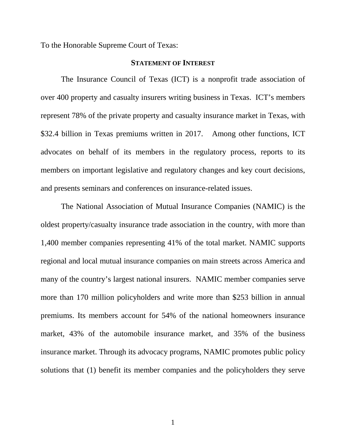<span id="page-7-0"></span>To the Honorable Supreme Court of Texas:

#### **STATEMENT OF INTEREST**

The Insurance Council of Texas (ICT) is a nonprofit trade association of over 400 property and casualty insurers writing business in Texas. ICT's members represent 78% of the private property and casualty insurance market in Texas, with \$32.4 billion in Texas premiums written in 2017. Among other functions, ICT advocates on behalf of its members in the regulatory process, reports to its members on important legislative and regulatory changes and key court decisions, and presents seminars and conferences on insurance-related issues.

The National Association of Mutual Insurance Companies (NAMIC) is the oldest property/casualty insurance trade association in the country, with more than 1,400 member companies representing 41% of the total market. NAMIC supports regional and local mutual insurance companies on main streets across America and many of the country's largest national insurers. NAMIC member companies serve more than 170 million policyholders and write more than \$253 billion in annual premiums. Its members account for 54% of the national homeowners insurance market, 43% of the automobile insurance market, and 35% of the business insurance market. Through its advocacy programs, NAMIC promotes public policy solutions that (1) benefit its member companies and the policyholders they serve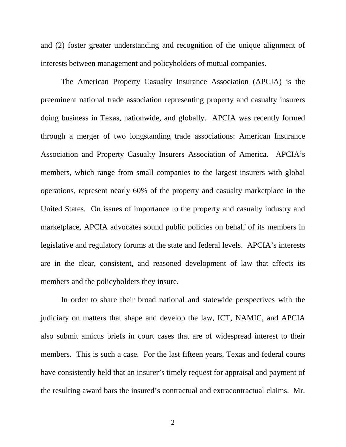and (2) foster greater understanding and recognition of the unique alignment of interests between management and policyholders of mutual companies.

The American Property Casualty Insurance Association (APCIA) is the preeminent national trade association representing property and casualty insurers doing business in Texas, nationwide, and globally. APCIA was recently formed through a merger of two longstanding trade associations: American Insurance Association and Property Casualty Insurers Association of America. APCIA's members, which range from small companies to the largest insurers with global operations, represent nearly 60% of the property and casualty marketplace in the United States. On issues of importance to the property and casualty industry and marketplace, APCIA advocates sound public policies on behalf of its members in legislative and regulatory forums at the state and federal levels. APCIA's interests are in the clear, consistent, and reasoned development of law that affects its members and the policyholders they insure.

In order to share their broad national and statewide perspectives with the judiciary on matters that shape and develop the law, ICT, NAMIC, and APCIA also submit amicus briefs in court cases that are of widespread interest to their members. This is such a case. For the last fifteen years, Texas and federal courts have consistently held that an insurer's timely request for appraisal and payment of the resulting award bars the insured's contractual and extracontractual claims. Mr.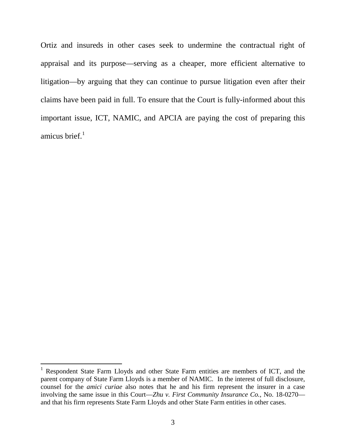Ortiz and insureds in other cases seek to undermine the contractual right of appraisal and its purpose—serving as a cheaper, more efficient alternative to litigation—by arguing that they can continue to pursue litigation even after their claims have been paid in full. To ensure that the Court is fully-informed about this important issue, ICT, NAMIC, and APCIA are paying the cost of preparing this amicus brief. $1$ 

<span id="page-9-0"></span><sup>&</sup>lt;sup>1</sup> Respondent State Farm Lloyds and other State Farm entities are members of ICT, and the parent company of State Farm Lloyds is a member of NAMIC. In the interest of full disclosure, counsel for the *amici curiae* also notes that he and his firm represent the insurer in a case involving the same issue in this Court—*Zhu v. First Community Insurance Co.*, No. 18-0270 and that his firm represents State Farm Lloyds and other State Farm entities in other cases.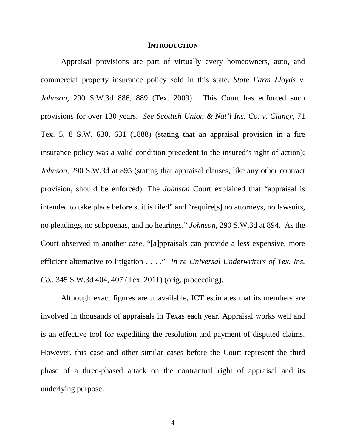#### **INTRODUCTION**

<span id="page-10-0"></span>Appraisal provisions are part of virtually every homeowners, auto, and commercial property insurance policy sold in this state. *State Farm Lloyds v. Johnson*, 290 S.W.3d 886, 889 (Tex. 2009). This Court has enforced such provisions for over 130 years. *See Scottish Union & Nat'l Ins. Co. v. Clancy*, 71 Tex. 5, 8 S.W. 630, 631 (1888) (stating that an appraisal provision in a fire insurance policy was a valid condition precedent to the insured's right of action); *Johnson*, 290 S.W.3d at 895 (stating that appraisal clauses, like any other contract provision, should be enforced). The *Johnson* Court explained that "appraisal is intended to take place before suit is filed" and "require[s] no attorneys, no lawsuits, no pleadings, no subpoenas, and no hearings." *Johnson*, 290 S.W.3d at 894. As the Court observed in another case, "[a]ppraisals can provide a less expensive, more efficient alternative to litigation . . . ." *In re Universal Underwriters of Tex. Ins. Co.*, 345 S.W.3d 404, 407 (Tex. 2011) (orig. proceeding).

Although exact figures are unavailable, ICT estimates that its members are involved in thousands of appraisals in Texas each year. Appraisal works well and is an effective tool for expediting the resolution and payment of disputed claims. However, this case and other similar cases before the Court represent the third phase of a three-phased attack on the contractual right of appraisal and its underlying purpose.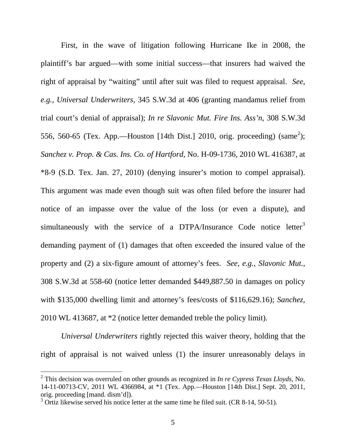First, in the wave of litigation following Hurricane Ike in 2008, the plaintiff's bar argued—with some initial success—that insurers had waived the right of appraisal by "waiting" until after suit was filed to request appraisal. *See, e.g., Universal Underwriters*, 345 S.W.3d at 406 (granting mandamus relief from trial court's denial of appraisal); *In re Slavonic Mut. Fire Ins. Ass'n*, 308 S.W.3d 556, 560-65 (Tex. App.—Houston [14th Dist.] [2](#page-11-0)010, orig. proceeding) (same<sup>2</sup>); *Sanchez v. Prop. & Cas. Ins. Co. of Hartford*, No. H-09-1736, 2010 WL 416387, at \*8-9 (S.D. Tex. Jan. 27, 2010) (denying insurer's motion to compel appraisal). This argument was made even though suit was often filed before the insurer had notice of an impasse over the value of the loss (or even a dispute), and simultaneously with the service of a DTPA/Insurance Code notice letter<sup>[3](#page-11-1)</sup> demanding payment of (1) damages that often exceeded the insured value of the property and (2) a six-figure amount of attorney's fees. *See, e.g., Slavonic Mut.*, 308 S.W.3d at 558-60 (notice letter demanded \$449,887.50 in damages on policy with \$135,000 dwelling limit and attorney's fees/costs of \$116,629.16); *Sanchez*, 2010 WL 413687, at \*2 (notice letter demanded treble the policy limit).

*Universal Underwriters* rightly rejected this waiver theory, holding that the right of appraisal is not waived unless (1) the insurer unreasonably delays in

<span id="page-11-0"></span><sup>2</sup> This decision was overruled on other grounds as recognized in *In re Cypress Texas Lloyds*, No. 14-11-00713-CV, 2011 WL 4366984, at \*1 (Tex. App.—Houston [14th Dist.] Sept. 20, 2011, orig. proceeding [mand. dism'd]).<br><sup>3</sup> Ortiz likewise served his notice letter at the same time he filed suit. (CR 8-14, 50-51).

<span id="page-11-1"></span>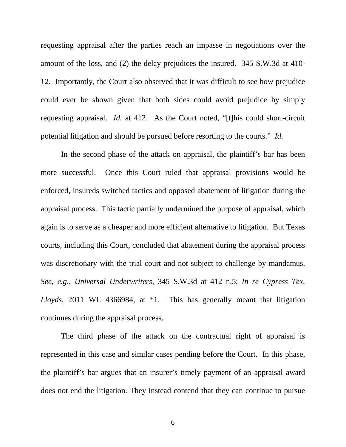requesting appraisal after the parties reach an impasse in negotiations over the amount of the loss, and (2) the delay prejudices the insured. 345 S.W.3d at 410- 12. Importantly, the Court also observed that it was difficult to see how prejudice could ever be shown given that both sides could avoid prejudice by simply requesting appraisal. *Id.* at 412. As the Court noted, "[t]his could short-circuit potential litigation and should be pursued before resorting to the courts." *Id.*

In the second phase of the attack on appraisal, the plaintiff's bar has been more successful. Once this Court ruled that appraisal provisions would be enforced, insureds switched tactics and opposed abatement of litigation during the appraisal process. This tactic partially undermined the purpose of appraisal, which again is to serve as a cheaper and more efficient alternative to litigation. But Texas courts, including this Court, concluded that abatement during the appraisal process was discretionary with the trial court and not subject to challenge by mandamus. *See, e.g., Universal Underwriters*, 345 S.W.3d at 412 n.5; *In re Cypress Tex. Lloyds,* 2011 WL 4366984, at \*1. This has generally meant that litigation continues during the appraisal process.

The third phase of the attack on the contractual right of appraisal is represented in this case and similar cases pending before the Court. In this phase, the plaintiff's bar argues that an insurer's timely payment of an appraisal award does not end the litigation. They instead contend that they can continue to pursue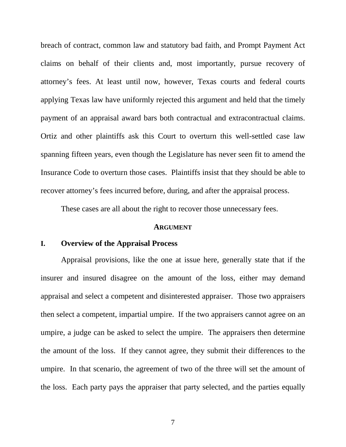breach of contract, common law and statutory bad faith, and Prompt Payment Act claims on behalf of their clients and, most importantly, pursue recovery of attorney's fees. At least until now, however, Texas courts and federal courts applying Texas law have uniformly rejected this argument and held that the timely payment of an appraisal award bars both contractual and extracontractual claims. Ortiz and other plaintiffs ask this Court to overturn this well-settled case law spanning fifteen years, even though the Legislature has never seen fit to amend the Insurance Code to overturn those cases. Plaintiffs insist that they should be able to recover attorney's fees incurred before, during, and after the appraisal process.

These cases are all about the right to recover those unnecessary fees.

#### **ARGUMENT**

#### <span id="page-13-1"></span><span id="page-13-0"></span>**I. Overview of the Appraisal Process**

Appraisal provisions, like the one at issue here, generally state that if the insurer and insured disagree on the amount of the loss, either may demand appraisal and select a competent and disinterested appraiser. Those two appraisers then select a competent, impartial umpire. If the two appraisers cannot agree on an umpire, a judge can be asked to select the umpire. The appraisers then determine the amount of the loss. If they cannot agree, they submit their differences to the umpire. In that scenario, the agreement of two of the three will set the amount of the loss. Each party pays the appraiser that party selected, and the parties equally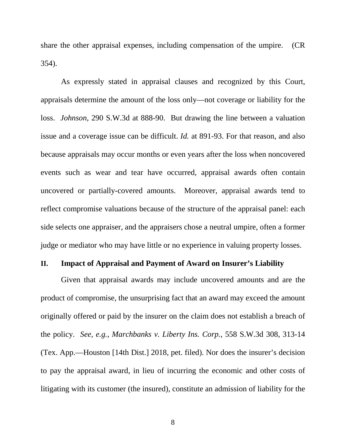share the other appraisal expenses, including compensation of the umpire. (CR 354).

As expressly stated in appraisal clauses and recognized by this Court, appraisals determine the amount of the loss only—not coverage or liability for the loss. *Johnson*, 290 S.W.3d at 888-90. But drawing the line between a valuation issue and a coverage issue can be difficult. *Id.* at 891-93. For that reason, and also because appraisals may occur months or even years after the loss when noncovered events such as wear and tear have occurred, appraisal awards often contain uncovered or partially-covered amounts. Moreover, appraisal awards tend to reflect compromise valuations because of the structure of the appraisal panel: each side selects one appraiser, and the appraisers chose a neutral umpire, often a former judge or mediator who may have little or no experience in valuing property losses.

#### <span id="page-14-0"></span>**II. Impact of Appraisal and Payment of Award on Insurer's Liability**

Given that appraisal awards may include uncovered amounts and are the product of compromise, the unsurprising fact that an award may exceed the amount originally offered or paid by the insurer on the claim does not establish a breach of the policy. *See, e.g., Marchbanks v. Liberty Ins. Corp.*, 558 S.W.3d 308, 313-14 (Tex. App.—Houston [14th Dist.] 2018, pet. filed). Nor does the insurer's decision to pay the appraisal award, in lieu of incurring the economic and other costs of litigating with its customer (the insured), constitute an admission of liability for the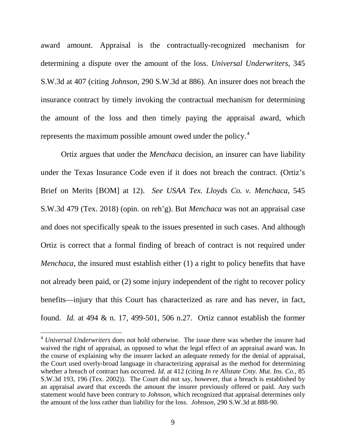award amount. Appraisal is the contractually-recognized mechanism for determining a dispute over the amount of the loss. *Universal Underwriters*, 345 S.W.3d at 407 (citing *Johnson*, 290 S.W.3d at 886). An insurer does not breach the insurance contract by timely invoking the contractual mechanism for determining the amount of the loss and then timely paying the appraisal award, which represents the maximum possible amount owed under the policy.<sup>[4](#page-15-0)</sup>

Ortiz argues that under the *Menchaca* decision, an insurer can have liability under the Texas Insurance Code even if it does not breach the contract. (Ortiz's Brief on Merits [BOM] at 12). *See USAA Tex. Lloyds Co. v. Menchaca*, 545 S.W.3d 479 (Tex. 2018) (opin. on reh'g). But *Menchaca* was not an appraisal case and does not specifically speak to the issues presented in such cases. And although Ortiz is correct that a formal finding of breach of contract is not required under *Menchaca*, the insured must establish either (1) a right to policy benefits that have not already been paid, or (2) some injury independent of the right to recover policy benefits—injury that this Court has characterized as rare and has never, in fact, found. *Id.* at 494 & n. 17, 499-501, 506 n.27. Ortiz cannot establish the former

<span id="page-15-0"></span><sup>4</sup> *Universal Underwriters* does not hold otherwise. The issue there was whether the insurer had waived the right of appraisal, as opposed to what the legal effect of an appraisal award was. In the course of explaining why the insurer lacked an adequate remedy for the denial of appraisal, the Court used overly-broad language in characterizing appraisal as the method for determining whether a breach of contract has occurred. *Id.* at 412 (citing *In re Allstate Cnty. Mut. Ins. Co.*, 85 S.W.3d 193, 196 (Tex. 2002)). The Court did not say, however, that a breach is established by an appraisal award that exceeds the amount the insurer previously offered or paid. Any such statement would have been contrary to *Johnson*, which recognized that appraisal determines only the amount of the loss rather than liability for the loss. *Johnson*, 290 S.W.3d at 888-90.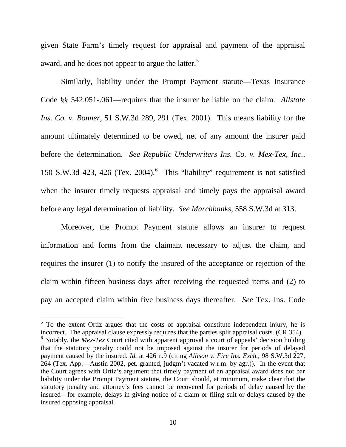given State Farm's timely request for appraisal and payment of the appraisal award, and he does not appear to argue the latter.<sup>[5](#page-16-0)</sup>

Similarly, liability under the Prompt Payment statute—Texas Insurance Code §§ 542.051-.061—requires that the insurer be liable on the claim. *Allstate Ins. Co. v. Bonner*, 51 S.W.3d 289, 291 (Tex. 2001). This means liability for the amount ultimately determined to be owed, net of any amount the insurer paid before the determination. *See Republic Underwriters Ins. Co. v. Mex-Tex, Inc.*, 150 S.W.3d 423, 426 (Tex. 2004). [6](#page-16-1) This "liability" requirement is not satisfied when the insurer timely requests appraisal and timely pays the appraisal award before any legal determination of liability. *See Marchbanks*, 558 S.W.3d at 313.

Moreover, the Prompt Payment statute allows an insurer to request information and forms from the claimant necessary to adjust the claim, and requires the insurer (1) to notify the insured of the acceptance or rejection of the claim within fifteen business days after receiving the requested items and (2) to pay an accepted claim within five business days thereafter. *See* Tex. Ins. Code

<span id="page-16-0"></span> $5$  To the extent Ortiz argues that the costs of appraisal constitute independent injury, he is incorrect. The appraisal clause expressly requires that the parties split appraisal costs. (CR 354). <sup>6</sup> Notably, the *Mex-Tex* Court cited with apparent approval a court of appeals' decision holding

<span id="page-16-1"></span>that the statutory penalty could not be imposed against the insurer for periods of delayed payment caused by the insured. *Id.* at 426 n.9 (citing *Allison v. Fire Ins. Exch.*, 98 S.W.3d 227, 264 (Tex. App.—Austin 2002, pet. granted, judgm't vacated w.r.m. by agr.)). In the event that the Court agrees with Ortiz's argument that timely payment of an appraisal award does not bar liability under the Prompt Payment statute, the Court should, at minimum, make clear that the statutory penalty and attorney's fees cannot be recovered for periods of delay caused by the insured—for example, delays in giving notice of a claim or filing suit or delays caused by the insured opposing appraisal.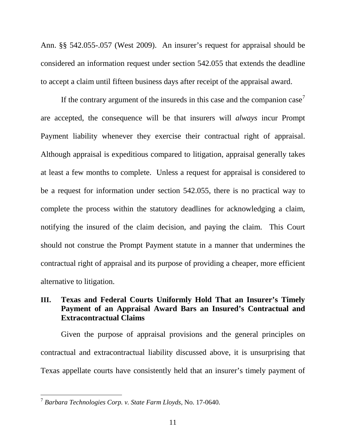Ann. §§ 542.055-.057 (West 2009). An insurer's request for appraisal should be considered an information request under section 542.055 that extends the deadline to accept a claim until fifteen business days after receipt of the appraisal award.

If the contrary argument of the insureds in this case and the companion case<sup>[7](#page-17-1)</sup> are accepted, the consequence will be that insurers will *always* incur Prompt Payment liability whenever they exercise their contractual right of appraisal. Although appraisal is expeditious compared to litigation, appraisal generally takes at least a few months to complete. Unless a request for appraisal is considered to be a request for information under section 542.055, there is no practical way to complete the process within the statutory deadlines for acknowledging a claim, notifying the insured of the claim decision, and paying the claim. This Court should not construe the Prompt Payment statute in a manner that undermines the contractual right of appraisal and its purpose of providing a cheaper, more efficient alternative to litigation.

# <span id="page-17-0"></span>**III. Texas and Federal Courts Uniformly Hold That an Insurer's Timely Payment of an Appraisal Award Bars an Insured's Contractual and Extracontractual Claims**

Given the purpose of appraisal provisions and the general principles on contractual and extracontractual liability discussed above, it is unsurprising that Texas appellate courts have consistently held that an insurer's timely payment of

<span id="page-17-1"></span><sup>7</sup> *Barbara Technologies Corp. v. State Farm Lloyds*, No. 17-0640.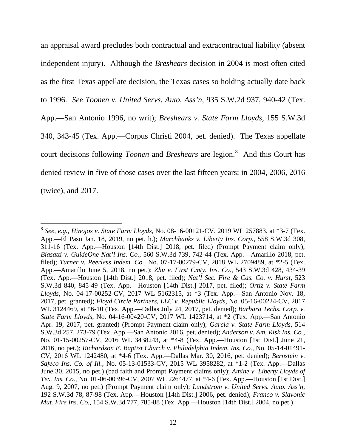an appraisal award precludes both contractual and extracontractual liability (absent independent injury). Although the *Breshears* decision in 2004 is most often cited as the first Texas appellate decision, the Texas cases so holding actually date back to 1996. *See Toonen v. United Servs. Auto. Ass'n*, 935 S.W.2d 937, 940-42 (Tex. App.—San Antonio 1996, no writ); *Breshears v. State Farm Lloyds*, 155 S.W.3d 340, 343-45 (Tex. App.—Corpus Christi 2004, pet. denied). The Texas appellate court decisions following *Toonen* and *Breshears* are legion. [8](#page-18-0) And this Court has denied review in five of those cases over the last fifteen years: in 2004, 2006, 2016 (twice), and 2017.

<span id="page-18-0"></span><sup>8</sup> *See, e.g., Hinojos v. State Farm Lloyds*, No. 08-16-00121-CV, 2019 WL 257883, at \*3-7 (Tex. App.—El Paso Jan. 18, 2019, no pet. h.); *Marchbanks v. Liberty Ins. Corp.*, 558 S.W.3d 308, 311-16 (Tex. App.—Houston [14th Dist.] 2018, pet. filed) (Prompt Payment claim only); *Biasatti v. GuideOne Nat'l Ins. Co.*, 560 S.W.3d 739, 742-44 (Tex. App.—Amarillo 2018, pet. filed); *Turner v. Peerless Indem. Co.*, No. 07-17-00279-CV, 2018 WL 2709489, at \*2-5 (Tex. App.—Amarillo June 5, 2018, no pet.); *Zhu v. First Cmty. Ins. Co.*, 543 S.W.3d 428, 434-39 (Tex. App.—Houston [14th Dist.] 2018, pet. filed); *Nat'l Sec. Fire & Cas. Co. v. Hurst*, 523 S.W.3d 840, 845-49 (Tex. App.—Houston [14th Dist.] 2017, pet. filed); *Ortiz v. State Farm Lloyds*, No. 04-17-00252-CV, 2017 WL 5162315, at \*3 (Tex. App.—San Antonio Nov. 18, 2017, pet. granted); *Floyd Circle Partners, LLC v. Republic Lloyds*, No. 05-16-00224-CV, 2017 WL 3124469, at \*6-10 (Tex. App.—Dallas July 24, 2017, pet. denied); *Barbara Techs. Corp. v. State Farm Lloyds*, No. 04-16-00420-CV, 2017 WL 1423714, at \*2 (Tex. App.—San Antonio Apr. 19, 2017, pet. granted) (Prompt Payment claim only); *Garcia v. State Farm Lloyds*, 514 S.W.3d 257, 273-79 (Tex. App.—San Antonio 2016, pet. denied); *Anderson v. Am. Risk Ins. Co.*, No. 01-15-00257-CV, 2016 WL 3438243, at \*4-8 (Tex. App.—Houston [1st Dist.] June 21, 2016, no pet.); *Richardson E. Baptist Church v. Philadelphia Indem. Ins. Co.*, No. 05-14-01491- CV, 2016 WL 1242480, at \*4-6 (Tex. App.—Dallas Mar. 30, 2016, pet. denied); *Bernstein v. Safeco Ins. Co. of Ill.*, No. 05-13-01533-CV, 2015 WL 3958282, at \*1-2 (Tex. App.—Dallas June 30, 2015, no pet.) (bad faith and Prompt Payment claims only); *Amine v. Liberty Lloyds of Tex. Ins. Co.*, No. 01-06-00396-CV, 2007 WL 2264477, at \*4-6 (Tex. App.—Houston [1st Dist.] Aug. 9, 2007, no pet.) (Prompt Payment claim only); *Lundstrom v. United Servs. Auto. Ass'n*, 192 S.W.3d 78, 87-98 (Tex. App.—Houston [14th Dist.] 2006, pet. denied); *Franco v. Slavonic Mut. Fire Ins. Co.*, 154 S.W.3d 777, 785-88 (Tex. App.—Houston [14th Dist.] 2004, no pet.).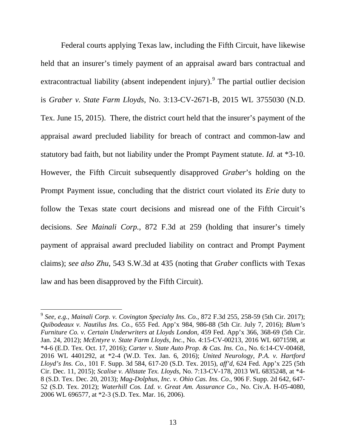Federal courts applying Texas law, including the Fifth Circuit, have likewise held that an insurer's timely payment of an appraisal award bars contractual and extracontractual liability (absent independent injury). <sup>[9](#page-19-0)</sup> The partial outlier decision is *Graber v. State Farm Lloyds*, No. 3:13-CV-2671-B, 2015 WL 3755030 (N.D. Tex. June 15, 2015). There, the district court held that the insurer's payment of the appraisal award precluded liability for breach of contract and common-law and statutory bad faith, but not liability under the Prompt Payment statute. *Id.* at \*3-10. However, the Fifth Circuit subsequently disapproved *Graber*'s holding on the Prompt Payment issue, concluding that the district court violated its *Erie* duty to follow the Texas state court decisions and misread one of the Fifth Circuit's decisions. *See Mainali Corp.*, 872 F.3d at 259 (holding that insurer's timely payment of appraisal award precluded liability on contract and Prompt Payment claims); *see also Zhu*, 543 S.W.3d at 435 (noting that *Graber* conflicts with Texas law and has been disapproved by the Fifth Circuit).

 $\overline{\phantom{a}}$ 

<span id="page-19-0"></span><sup>9</sup> *See, e.g., Mainali Corp. v. Covington Specialty Ins. Co.*, 872 F.3d 255, 258-59 (5th Cir. 2017); *Quibodeaux v. Nautilus Ins. Co.*, 655 Fed. App'x 984, 986-88 (5th Cir. July 7, 2016); *Blum's Furniture Co. v. Certain Underwriters at Lloyds London,* 459 Fed. App'x 366, 368-69 (5th Cir. Jan. 24, 2012); *McEntyre v. State Farm Lloyds, Inc.*, No. 4:15-CV-00213, 2016 WL 6071598, at \*4-6 (E.D. Tex. Oct. 17, 2016); *Carter v. State Auto Prop. & Cas. Ins. Co.*, No. 6:14-CV-00468, 2016 WL 4401292, at \*2-4 (W.D. Tex. Jan. 6, 2016); *United Neurology, P.A. v. Hartford Lloyd's Ins. Co.*, 101 F. Supp. 3d 584, 617-20 (S.D. Tex. 2015), *aff'd*, 624 Fed. App'x 225 (5th Cir. Dec. 11, 2015); *Scalise v. Allstate Tex. Lloyds*, No. 7:13-CV-178, 2013 WL 6835248, at \*4- 8 (S.D. Tex. Dec. 20, 2013); *Mag-Dolphus, Inc. v. Ohio Cas. Ins. Co.*, 906 F. Supp. 2d 642, 647- 52 (S.D. Tex. 2012); *Waterhill Cos. Ltd. v. Great Am. Assurance Co.*, No. Civ.A. H-05-4080, 2006 WL 696577, at \*2-3 (S.D. Tex. Mar. 16, 2006).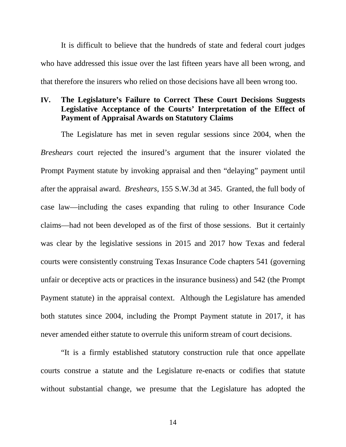It is difficult to believe that the hundreds of state and federal court judges who have addressed this issue over the last fifteen years have all been wrong, and that therefore the insurers who relied on those decisions have all been wrong too.

# <span id="page-20-0"></span>**IV. The Legislature's Failure to Correct These Court Decisions Suggests Legislative Acceptance of the Courts' Interpretation of the Effect of Payment of Appraisal Awards on Statutory Claims**

The Legislature has met in seven regular sessions since 2004, when the *Breshears* court rejected the insured's argument that the insurer violated the Prompt Payment statute by invoking appraisal and then "delaying" payment until after the appraisal award. *Breshears*, 155 S.W.3d at 345. Granted, the full body of case law—including the cases expanding that ruling to other Insurance Code claims—had not been developed as of the first of those sessions. But it certainly was clear by the legislative sessions in 2015 and 2017 how Texas and federal courts were consistently construing Texas Insurance Code chapters 541 (governing unfair or deceptive acts or practices in the insurance business) and 542 (the Prompt Payment statute) in the appraisal context. Although the Legislature has amended both statutes since 2004, including the Prompt Payment statute in 2017, it has never amended either statute to overrule this uniform stream of court decisions.

"It is a firmly established statutory construction rule that once appellate courts construe a statute and the Legislature re-enacts or codifies that statute without substantial change, we presume that the Legislature has adopted the

14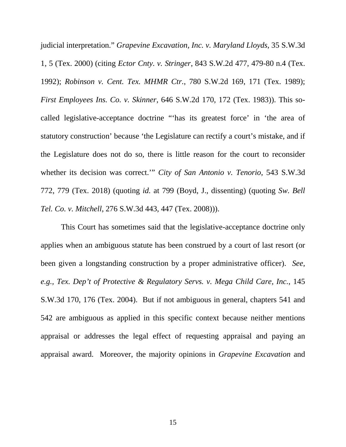judicial interpretation." *Grapevine Excavation, Inc. v. Maryland Lloyds*, 35 S.W.3d 1, 5 (Tex. 2000) (citing *Ector Cnty. v. Stringer*, 843 S.W.2d 477, 479-80 n.4 (Tex. 1992); *Robinson v. Cent. Tex. MHMR Ctr.*, 780 S.W.2d 169, 171 (Tex. 1989); *First Employees Ins. Co. v. Skinner*, 646 S.W.2d 170, 172 (Tex. 1983)). This socalled legislative-acceptance doctrine "'has its greatest force' in 'the area of statutory construction' because 'the Legislature can rectify a court's mistake, and if the Legislature does not do so, there is little reason for the court to reconsider whether its decision was correct.'" *City of San Antonio v. Tenorio*, 543 S.W.3d 772, 779 (Tex. 2018) (quoting *id.* at 799 (Boyd, J., dissenting) (quoting *Sw. Bell Tel. Co. v. Mitchell*, 276 S.W.3d 443, 447 (Tex. 2008))).

This Court has sometimes said that the legislative-acceptance doctrine only applies when an ambiguous statute has been construed by a court of last resort (or been given a longstanding construction by a proper administrative officer). *See, e.g., Tex. Dep't of Protective & Regulatory Servs. v. Mega Child Care, Inc.*, 145 S.W.3d 170, 176 (Tex. 2004). But if not ambiguous in general, chapters 541 and 542 are ambiguous as applied in this specific context because neither mentions appraisal or addresses the legal effect of requesting appraisal and paying an appraisal award. Moreover, the majority opinions in *Grapevine Excavation* and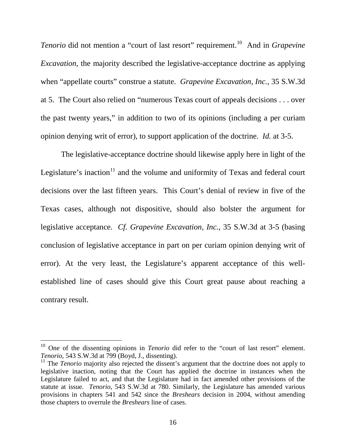*Tenorio* did not mention a "court of last resort" requirement.<sup>10</sup> And in *Grapevine Excavation*, the majority described the legislative-acceptance doctrine as applying when "appellate courts" construe a statute. *Grapevine Excavation, Inc.*, 35 S.W.3d at 5. The Court also relied on "numerous Texas court of appeals decisions . . . over the past twenty years," in addition to two of its opinions (including a per curiam opinion denying writ of error), to support application of the doctrine. *Id.* at 3-5.

The legislative-acceptance doctrine should likewise apply here in light of the Legislature's inaction<sup>[11](#page-22-1)</sup> and the volume and uniformity of Texas and federal court decisions over the last fifteen years. This Court's denial of review in five of the Texas cases, although not dispositive, should also bolster the argument for legislative acceptance. *Cf. Grapevine Excavation, Inc.*, 35 S.W.3d at 3-5 (basing conclusion of legislative acceptance in part on per curiam opinion denying writ of error). At the very least, the Legislature's apparent acceptance of this wellestablished line of cases should give this Court great pause about reaching a contrary result.

<span id="page-22-0"></span><sup>&</sup>lt;sup>10</sup> One of the dissenting opinions in *Tenorio* did refer to the "court of last resort" element.<br>*Tenorio*, 543 S.W.3d at 799 (Boyd, J., dissenting).

<span id="page-22-1"></span><sup>&</sup>lt;sup>11</sup> The *Tenorio* majority also rejected the dissent's argument that the doctrine does not apply to legislative inaction, noting that the Court has applied the doctrine in instances when the Legislature failed to act, and that the Legislature had in fact amended other provisions of the statute at issue. *Tenorio*, 543 S.W.3d at 780. Similarly, the Legislature has amended various provisions in chapters 541 and 542 since the *Breshears* decision in 2004, without amending those chapters to overrule the *Breshears* line of cases.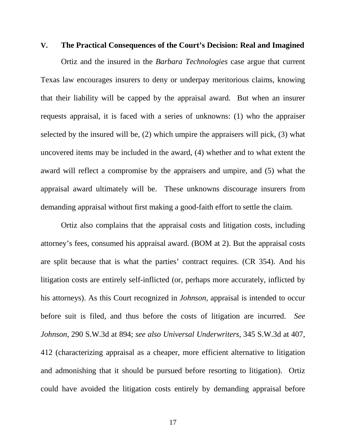#### <span id="page-23-0"></span>**V. The Practical Consequences of the Court's Decision: Real and Imagined**

Ortiz and the insured in the *Barbara Technologies* case argue that current Texas law encourages insurers to deny or underpay meritorious claims, knowing that their liability will be capped by the appraisal award. But when an insurer requests appraisal, it is faced with a series of unknowns: (1) who the appraiser selected by the insured will be, (2) which umpire the appraisers will pick, (3) what uncovered items may be included in the award, (4) whether and to what extent the award will reflect a compromise by the appraisers and umpire, and (5) what the appraisal award ultimately will be. These unknowns discourage insurers from demanding appraisal without first making a good-faith effort to settle the claim.

Ortiz also complains that the appraisal costs and litigation costs, including attorney's fees, consumed his appraisal award. (BOM at 2). But the appraisal costs are split because that is what the parties' contract requires. (CR 354). And his litigation costs are entirely self-inflicted (or, perhaps more accurately, inflicted by his attorneys). As this Court recognized in *Johnson*, appraisal is intended to occur before suit is filed, and thus before the costs of litigation are incurred. *See Johnson*, 290 S.W.3d at 894; *see also Universal Underwriters*, 345 S.W.3d at 407, 412 (characterizing appraisal as a cheaper, more efficient alternative to litigation and admonishing that it should be pursued before resorting to litigation). Ortiz could have avoided the litigation costs entirely by demanding appraisal before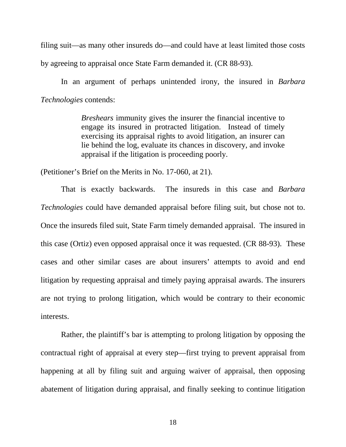filing suit—as many other insureds do—and could have at least limited those costs by agreeing to appraisal once State Farm demanded it. (CR 88-93).

In an argument of perhaps unintended irony, the insured in *Barbara Technologies* contends:

> *Breshears* immunity gives the insurer the financial incentive to engage its insured in protracted litigation. Instead of timely exercising its appraisal rights to avoid litigation, an insurer can lie behind the log, evaluate its chances in discovery, and invoke appraisal if the litigation is proceeding poorly.

(Petitioner's Brief on the Merits in No. 17-060, at 21).

That is exactly backwards. The insureds in this case and *Barbara Technologies* could have demanded appraisal before filing suit, but chose not to. Once the insureds filed suit, State Farm timely demanded appraisal. The insured in this case (Ortiz) even opposed appraisal once it was requested. (CR 88-93). These cases and other similar cases are about insurers' attempts to avoid and end litigation by requesting appraisal and timely paying appraisal awards. The insurers are not trying to prolong litigation, which would be contrary to their economic interests.

Rather, the plaintiff's bar is attempting to prolong litigation by opposing the contractual right of appraisal at every step—first trying to prevent appraisal from happening at all by filing suit and arguing waiver of appraisal, then opposing abatement of litigation during appraisal, and finally seeking to continue litigation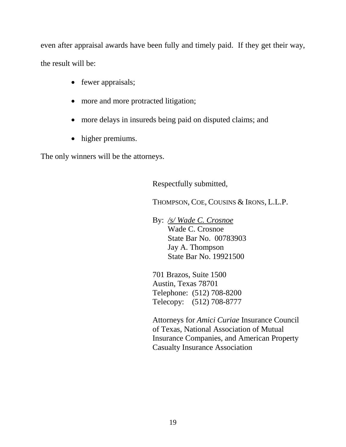even after appraisal awards have been fully and timely paid. If they get their way, the result will be:

- fewer appraisals;
- more and more protracted litigation;
- more delays in insureds being paid on disputed claims; and
- higher premiums.

The only winners will be the attorneys.

Respectfully submitted,

THOMPSON, COE, COUSINS & IRONS, L.L.P.

By: */s/ Wade C. Crosnoe* Wade C. Crosnoe State Bar No. 00783903 Jay A. Thompson State Bar No. 19921500

701 Brazos, Suite 1500 Austin, Texas 78701 Telephone: (512) 708-8200 Telecopy: (512) 708-8777

Attorneys for *Amici Curiae* Insurance Council of Texas, National Association of Mutual Insurance Companies, and American Property Casualty Insurance Association